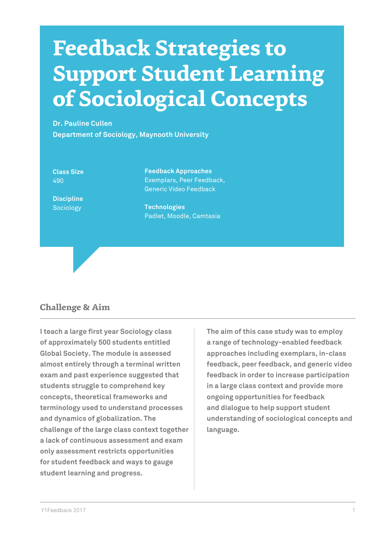# **Feedback Strategies to Support Student Learning of Sociological Concepts**

**Dr. Pauline Cullen Department of Sociology, Maynooth University**

**Class Size** 490

**Discipline** Sociology

**Feedback Approaches** Exemplars, Peer Feedback, Generic Video Feedback

**Technologies** Padlet, Moodle, Camtasia

# **Challenge & Aim**

**I teach a large first year Sociology class of approximately 500 students entitled Global Society. The module is assessed almost entirely through a terminal written exam and past experience suggested that students struggle to comprehend key concepts, theoretical frameworks and terminology used to understand processes and dynamics of globalization. The challenge of the large class context together a lack of continuous assessment and exam only assessment restricts opportunities for student feedback and ways to gauge student learning and progress.** 

**The aim of this case study was to employ a range of technology-enabled feedback approaches including exemplars, in-class feedback, peer feedback, and generic video feedback in order to increase participation in a large class context and provide more ongoing opportunities for feedback and dialogue to help support student understanding of sociological concepts and language.**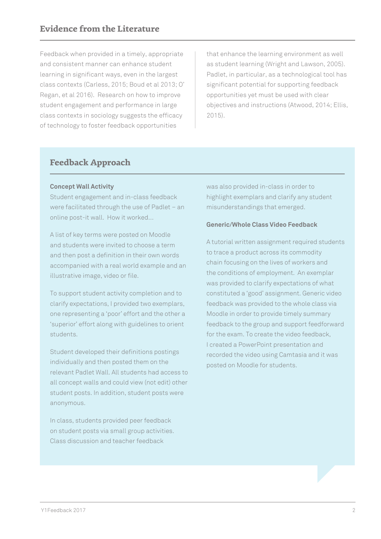Feedback when provided in a timely, appropriate and consistent manner can enhance student learning in significant ways, even in the largest class contexts (Carless, 2015; Boud et al 2013; O' Regan, et al 2016). Research on how to improve student engagement and performance in large class contexts in sociology suggests the efficacy of technology to foster feedback opportunities

that enhance the learning environment as well as student learning (Wright and Lawson, 2005). Padlet, in particular, as a technological tool has significant potential for supporting feedback opportunities yet must be used with clear objectives and instructions (Atwood, 2014; Ellis, 2015).

# **Feedback Approach**

## **Concept Wall Activity**

Student engagement and in-class feedback were facilitated through the use of Padlet – an online post-it wall. How it worked…

A list of key terms were posted on Moodle and students were invited to choose a term and then post a definition in their own words accompanied with a real world example and an illustrative image, video or file.

To support student activity completion and to clarify expectations, I provided two exemplars, one representing a 'poor' effort and the other a 'superior' effort along with guidelines to orient students.

Student developed their definitions postings individually and then posted them on the relevant Padlet Wall. All students had access to all concept walls and could view (not edit) other student posts. In addition, student posts were anonymous.

In class, students provided peer feedback on student posts via small group activities. Class discussion and teacher feedback

was also provided in-class in order to highlight exemplars and clarify any student misunderstandings that emerged.

## **Generic/Whole Class Video Feedback**

A tutorial written assignment required students to trace a product across its commodity chain focusing on the lives of workers and the conditions of employment. An exemplar was provided to clarify expectations of what constituted a 'good' assignment. Generic video feedback was provided to the whole class via Moodle in order to provide timely summary feedback to the group and support feedforward for the exam. To create the video feedback, I created a PowerPoint presentation and recorded the video using Camtasia and it was posted on Moodle for students.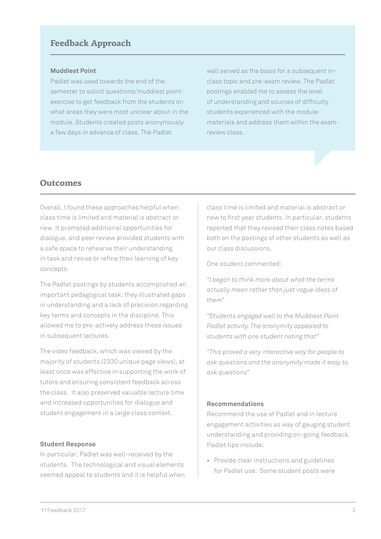## **Feedback Approach**

#### **Muddiest Point**

Padlet was used towards the end of the semester to solicit questions/muddiest pointexercise to get feedback from the students on what areas they were most unclear about in the module. Students created posts anonymously a few days in advance of class. The Padlet

wall served as the basis for a subsequent inclass topic and pre-exam review. The Padlet postings enabled me to assess the level of understanding and sources of difficulty students experienced with the module materials and address them within the examreview class.

## **Outcomes**

Overall, I found these approaches helpful when class time is limited and material is abstract or new. It promoted additional opportunities for dialogue, and peer review provided students with a safe space to rehearse their understanding in task and revise or refine their learning of key concepts.

The Padlet postings by students accomplished an important pedagogical task: they illustrated gaps in understanding and a lack of precision regarding key terms and concepts in the discipline. This allowed me to pro-actively address these issues in subsequent lectures.

The video feedback, which was viewed by the majority of students (2330 unique page views), at least once was effective in supporting the work of tutors and ensuring consistent feedback across the class. It also preserved valuable lecture time and increased opportunities for dialogue and student engagement in a large class context.

#### **Student Response**

In particular, Padlet was well-received by the students. The technological and visual elements seemed appeal to students and it is helpful when class time is limited and material is abstract or new to first year students. In particular, students reported that they revised their class notes based both on the postings of other students as well as our class discussions.

One student commented:

*"I began to think more about what the terms actually mean rather than just vague ideas of them"*

*"Students engaged well to the Muddiest Point Padlet activity. The anonymity appealed to students with one student noting that"* 

*"This proved a very interactive way for people to ask questions and the anonymity made it easy to ask questions"*

#### **Recommendations**

Recommend the use of Padlet and in lecture engagement activities as way of gauging student understanding and providing on-going feedback. Padlet tips include:

• Provide clear instructions and guidelines for Padlet use. Some student posts were